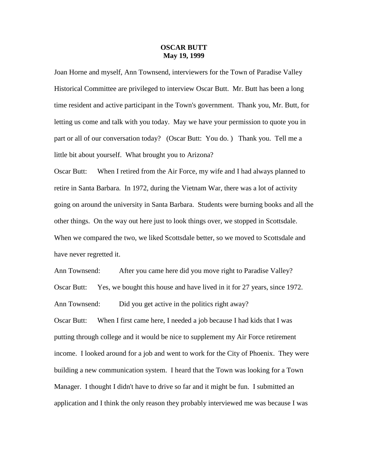## **OSCAR BUTT May 19, 1999**

Joan Horne and myself, Ann Townsend, interviewers for the Town of Paradise Valley Historical Committee are privileged to interview Oscar Butt. Mr. Butt has been a long time resident and active participant in the Town's government. Thank you, Mr. Butt, for letting us come and talk with you today. May we have your permission to quote you in part or all of our conversation today? (Oscar Butt: You do. ) Thank you. Tell me a little bit about yourself. What brought you to Arizona?

Oscar Butt: When I retired from the Air Force, my wife and I had always planned to retire in Santa Barbara. In 1972, during the Vietnam War, there was a lot of activity going on around the university in Santa Barbara. Students were burning books and all the other things. On the way out here just to look things over, we stopped in Scottsdale. When we compared the two, we liked Scottsdale better, so we moved to Scottsdale and have never regretted it.

Ann Townsend: After you came here did you move right to Paradise Valley? Oscar Butt: Yes, we bought this house and have lived in it for 27 years, since 1972. Ann Townsend: Did you get active in the politics right away? Oscar Butt: When I first came here, I needed a job because I had kids that I was putting through college and it would be nice to supplement my Air Force retirement income. I looked around for a job and went to work for the City of Phoenix. They were building a new communication system. I heard that the Town was looking for a Town Manager. I thought I didn't have to drive so far and it might be fun. I submitted an application and I think the only reason they probably interviewed me was because I was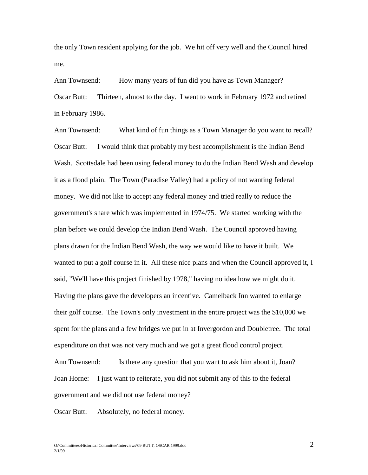the only Town resident applying for the job. We hit off very well and the Council hired me.

Ann Townsend: How many years of fun did you have as Town Manager? Oscar Butt: Thirteen, almost to the day. I went to work in February 1972 and retired in February 1986.

Ann Townsend: What kind of fun things as a Town Manager do you want to recall? Oscar Butt: I would think that probably my best accomplishment is the Indian Bend Wash. Scottsdale had been using federal money to do the Indian Bend Wash and develop it as a flood plain. The Town (Paradise Valley) had a policy of not wanting federal money. We did not like to accept any federal money and tried really to reduce the government's share which was implemented in 1974/75. We started working with the plan before we could develop the Indian Bend Wash. The Council approved having plans drawn for the Indian Bend Wash, the way we would like to have it built. We wanted to put a golf course in it. All these nice plans and when the Council approved it, I said, "We'll have this project finished by 1978," having no idea how we might do it. Having the plans gave the developers an incentive. Camelback Inn wanted to enlarge their golf course. The Town's only investment in the entire project was the \$10,000 we spent for the plans and a few bridges we put in at Invergordon and Doubletree. The total expenditure on that was not very much and we got a great flood control project. Ann Townsend: Is there any question that you want to ask him about it, Joan? Joan Horne: I just want to reiterate, you did not submit any of this to the federal government and we did not use federal money?

Oscar Butt: Absolutely, no federal money.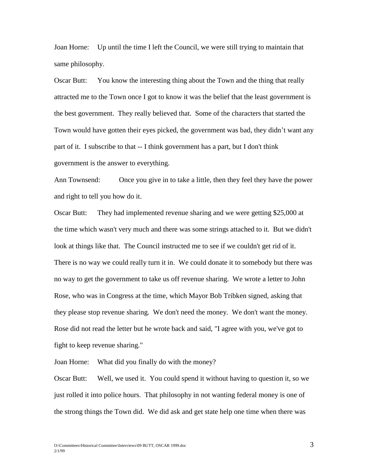Joan Horne: Up until the time I left the Council, we were still trying to maintain that same philosophy.

Oscar Butt: You know the interesting thing about the Town and the thing that really attracted me to the Town once I got to know it was the belief that the least government is the best government. They really believed that. Some of the characters that started the Town would have gotten their eyes picked, the government was bad, they didn't want any part of it. I subscribe to that -- I think government has a part, but I don't think government is the answer to everything.

Ann Townsend: Once you give in to take a little, then they feel they have the power and right to tell you how do it.

Oscar Butt: They had implemented revenue sharing and we were getting \$25,000 at the time which wasn't very much and there was some strings attached to it. But we didn't look at things like that. The Council instructed me to see if we couldn't get rid of it. There is no way we could really turn it in. We could donate it to somebody but there was no way to get the government to take us off revenue sharing. We wrote a letter to John Rose, who was in Congress at the time, which Mayor Bob Tribken signed, asking that they please stop revenue sharing. We don't need the money. We don't want the money. Rose did not read the letter but he wrote back and said, "I agree with you, we've got to fight to keep revenue sharing."

Joan Horne: What did you finally do with the money?

Oscar Butt: Well, we used it. You could spend it without having to question it, so we just rolled it into police hours. That philosophy in not wanting federal money is one of the strong things the Town did. We did ask and get state help one time when there was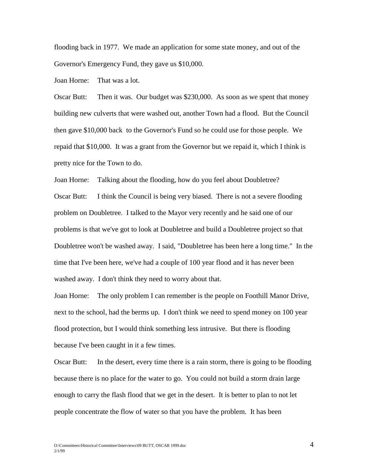flooding back in 1977. We made an application for some state money, and out of the Governor's Emergency Fund, they gave us \$10,000.

Joan Horne: That was a lot.

Oscar Butt: Then it was. Our budget was \$230,000. As soon as we spent that money building new culverts that were washed out, another Town had a flood. But the Council then gave \$10,000 back to the Governor's Fund so he could use for those people. We repaid that \$10,000. It was a grant from the Governor but we repaid it, which I think is pretty nice for the Town to do.

Joan Horne: Talking about the flooding, how do you feel about Doubletree? Oscar Butt: I think the Council is being very biased. There is not a severe flooding problem on Doubletree. I talked to the Mayor very recently and he said one of our problems is that we've got to look at Doubletree and build a Doubletree project so that Doubletree won't be washed away. I said, "Doubletree has been here a long time." In the time that I've been here, we've had a couple of 100 year flood and it has never been washed away. I don't think they need to worry about that.

Joan Horne: The only problem I can remember is the people on Foothill Manor Drive, next to the school, had the berms up. I don't think we need to spend money on 100 year flood protection, but I would think something less intrusive. But there is flooding because I've been caught in it a few times.

Oscar Butt: In the desert, every time there is a rain storm, there is going to be flooding because there is no place for the water to go. You could not build a storm drain large enough to carry the flash flood that we get in the desert. It is better to plan to not let people concentrate the flow of water so that you have the problem. It has been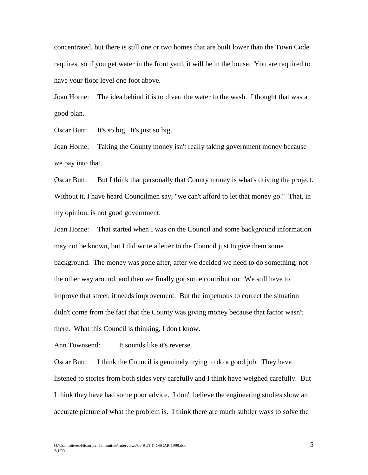concentrated, but there is still one or two homes that are built lower than the Town Code requires, so if you get water in the front yard, it will be in the house. You are required to have your floor level one foot above.

Joan Horne: The idea behind it is to divert the water to the wash. I thought that was a good plan.

Oscar Butt: It's so big. It's just so big.

Joan Horne: Taking the County money isn't really taking government money because we pay into that.

Oscar Butt: But I think that personally that County money is what's driving the project. Without it, I have heard Councilmen say, "we can't afford to let that money go." That, in my opinion, is not good government.

Joan Horne: That started when I was on the Council and some background information may not be known, but I did write a letter to the Council just to give them some background. The money was gone after, after we decided we need to do something, not the other way around, and then we finally got some contribution. We still have to improve that street, it needs improvement. But the impetuous to correct the situation didn't come from the fact that the County was giving money because that factor wasn't there. What this Council is thinking, I don't know.

Ann Townsend: It sounds like it's reverse.

Oscar Butt: I think the Council is genuinely trying to do a good job. They have listened to stories from both sides very carefully and I think have weighed carefully. But I think they have had some poor advice. I don't believe the engineering studies show an accurate picture of what the problem is. I think there are much subtler ways to solve the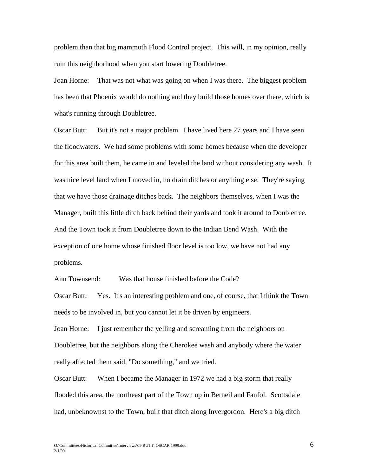problem than that big mammoth Flood Control project. This will, in my opinion, really ruin this neighborhood when you start lowering Doubletree.

Joan Horne: That was not what was going on when I was there. The biggest problem has been that Phoenix would do nothing and they build those homes over there, which is what's running through Doubletree.

Oscar Butt: But it's not a major problem. I have lived here 27 years and I have seen the floodwaters. We had some problems with some homes because when the developer for this area built them, he came in and leveled the land without considering any wash. It was nice level land when I moved in, no drain ditches or anything else. They're saying that we have those drainage ditches back. The neighbors themselves, when I was the Manager, built this little ditch back behind their yards and took it around to Doubletree. And the Town took it from Doubletree down to the Indian Bend Wash. With the exception of one home whose finished floor level is too low, we have not had any problems.

Ann Townsend: Was that house finished before the Code?

Oscar Butt: Yes. It's an interesting problem and one, of course, that I think the Town needs to be involved in, but you cannot let it be driven by engineers.

Joan Horne: I just remember the yelling and screaming from the neighbors on Doubletree, but the neighbors along the Cherokee wash and anybody where the water really affected them said, "Do something," and we tried.

Oscar Butt: When I became the Manager in 1972 we had a big storm that really flooded this area, the northeast part of the Town up in Berneil and Fanfol. Scottsdale had, unbeknownst to the Town, built that ditch along Invergordon. Here's a big ditch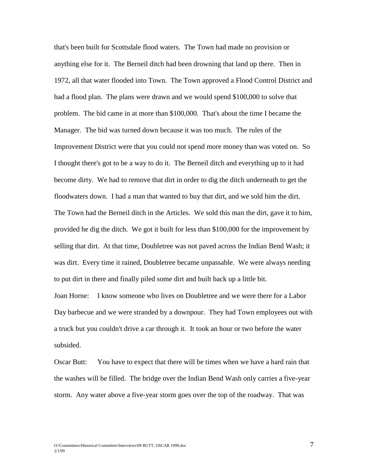that's been built for Scottsdale flood waters. The Town had made no provision or anything else for it. The Berneil ditch had been drowning that land up there. Then in 1972, all that water flooded into Town. The Town approved a Flood Control District and had a flood plan. The plans were drawn and we would spend \$100,000 to solve that problem. The bid came in at more than \$100,000. That's about the time I became the Manager. The bid was turned down because it was too much. The rules of the Improvement District were that you could not spend more money than was voted on. So I thought there's got to be a way to do it. The Berneil ditch and everything up to it had become dirty. We had to remove that dirt in order to dig the ditch underneath to get the floodwaters down. I had a man that wanted to buy that dirt, and we sold him the dirt. The Town had the Berneil ditch in the Articles. We sold this man the dirt, gave it to him, provided he dig the ditch. We got it built for less than \$100,000 for the improvement by selling that dirt. At that time, Doubletree was not paved across the Indian Bend Wash; it was dirt. Every time it rained, Doubletree became unpassable. We were always needing to put dirt in there and finally piled some dirt and built back up a little bit.

Joan Horne: I know someone who lives on Doubletree and we were there for a Labor Day barbecue and we were stranded by a downpour. They had Town employees out with a truck but you couldn't drive a car through it. It took an hour or two before the water subsided.

Oscar Butt: You have to expect that there will be times when we have a hard rain that the washes will be filled. The bridge over the Indian Bend Wash only carries a five-year storm. Any water above a five-year storm goes over the top of the roadway. That was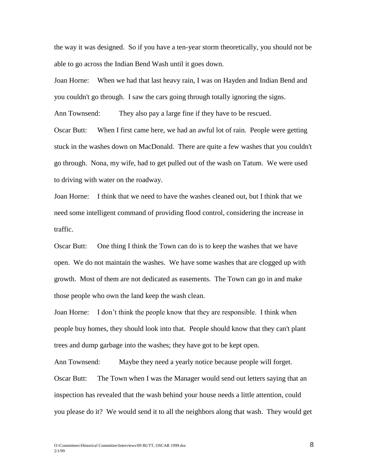the way it was designed. So if you have a ten-year storm theoretically, you should not be able to go across the Indian Bend Wash until it goes down.

Joan Horne: When we had that last heavy rain, I was on Hayden and Indian Bend and you couldn't go through. I saw the cars going through totally ignoring the signs.

Ann Townsend: They also pay a large fine if they have to be rescued.

Oscar Butt: When I first came here, we had an awful lot of rain. People were getting stuck in the washes down on MacDonald. There are quite a few washes that you couldn't go through. Nona, my wife, had to get pulled out of the wash on Tatum. We were used to driving with water on the roadway.

Joan Horne: I think that we need to have the washes cleaned out, but I think that we need some intelligent command of providing flood control, considering the increase in traffic.

Oscar Butt: One thing I think the Town can do is to keep the washes that we have open. We do not maintain the washes. We have some washes that are clogged up with growth. Most of them are not dedicated as easements. The Town can go in and make those people who own the land keep the wash clean.

Joan Horne: I don't think the people know that they are responsible. I think when people buy homes, they should look into that. People should know that they can't plant trees and dump garbage into the washes; they have got to be kept open.

Ann Townsend: Maybe they need a yearly notice because people will forget. Oscar Butt: The Town when I was the Manager would send out letters saying that an inspection has revealed that the wash behind your house needs a little attention, could you please do it? We would send it to all the neighbors along that wash. They would get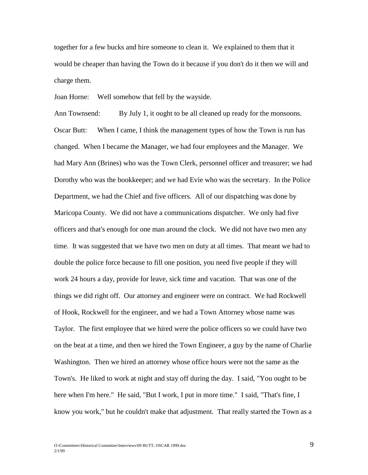together for a few bucks and hire someone to clean it. We explained to them that it would be cheaper than having the Town do it because if you don't do it then we will and charge them.

Joan Horne: Well somehow that fell by the wayside.

Ann Townsend: By July 1, it ought to be all cleaned up ready for the monsoons. Oscar Butt: When I came, I think the management types of how the Town is run has changed. When I became the Manager, we had four employees and the Manager. We had Mary Ann (Brines) who was the Town Clerk, personnel officer and treasurer; we had Dorothy who was the bookkeeper; and we had Evie who was the secretary. In the Police Department, we had the Chief and five officers. All of our dispatching was done by Maricopa County. We did not have a communications dispatcher. We only had five officers and that's enough for one man around the clock. We did not have two men any time. It was suggested that we have two men on duty at all times. That meant we had to double the police force because to fill one position, you need five people if they will work 24 hours a day, provide for leave, sick time and vacation. That was one of the things we did right off. Our attorney and engineer were on contract. We had Rockwell of Hook, Rockwell for the engineer, and we had a Town Attorney whose name was Taylor. The first employee that we hired were the police officers so we could have two on the beat at a time, and then we hired the Town Engineer, a guy by the name of Charlie Washington. Then we hired an attorney whose office hours were not the same as the Town's. He liked to work at night and stay off during the day. I said, "You ought to be here when I'm here." He said, "But I work, I put in more time." I said, "That's fine, I know you work," but he couldn't make that adjustment. That really started the Town as a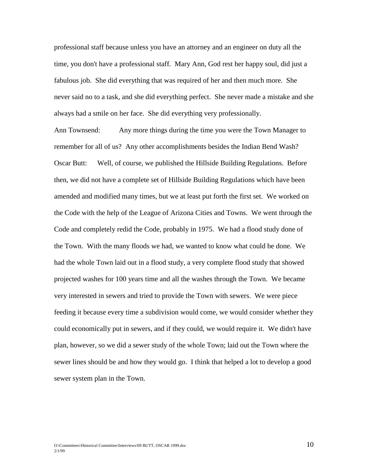professional staff because unless you have an attorney and an engineer on duty all the time, you don't have a professional staff. Mary Ann, God rest her happy soul, did just a fabulous job. She did everything that was required of her and then much more. She never said no to a task, and she did everything perfect. She never made a mistake and she always had a smile on her face. She did everything very professionally.

Ann Townsend: Any more things during the time you were the Town Manager to remember for all of us? Any other accomplishments besides the Indian Bend Wash? Oscar Butt: Well, of course, we published the Hillside Building Regulations. Before then, we did not have a complete set of Hillside Building Regulations which have been amended and modified many times, but we at least put forth the first set. We worked on the Code with the help of the League of Arizona Cities and Towns. We went through the Code and completely redid the Code, probably in 1975. We had a flood study done of the Town. With the many floods we had, we wanted to know what could be done. We had the whole Town laid out in a flood study, a very complete flood study that showed projected washes for 100 years time and all the washes through the Town. We became very interested in sewers and tried to provide the Town with sewers. We were piece feeding it because every time a subdivision would come, we would consider whether they could economically put in sewers, and if they could, we would require it. We didn't have plan, however, so we did a sewer study of the whole Town; laid out the Town where the sewer lines should be and how they would go. I think that helped a lot to develop a good sewer system plan in the Town.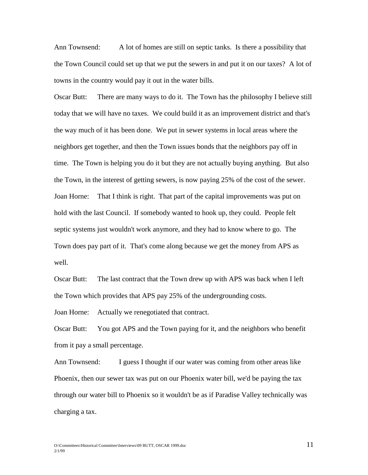Ann Townsend: A lot of homes are still on septic tanks. Is there a possibility that the Town Council could set up that we put the sewers in and put it on our taxes? A lot of towns in the country would pay it out in the water bills.

Oscar Butt: There are many ways to do it. The Town has the philosophy I believe still today that we will have no taxes. We could build it as an improvement district and that's the way much of it has been done. We put in sewer systems in local areas where the neighbors get together, and then the Town issues bonds that the neighbors pay off in time. The Town is helping you do it but they are not actually buying anything. But also the Town, in the interest of getting sewers, is now paying 25% of the cost of the sewer. Joan Horne: That I think is right. That part of the capital improvements was put on hold with the last Council. If somebody wanted to hook up, they could. People felt septic systems just wouldn't work anymore, and they had to know where to go. The Town does pay part of it. That's come along because we get the money from APS as well.

Oscar Butt: The last contract that the Town drew up with APS was back when I left the Town which provides that APS pay 25% of the undergrounding costs.

Joan Horne: Actually we renegotiated that contract.

Oscar Butt: You got APS and the Town paying for it, and the neighbors who benefit from it pay a small percentage.

Ann Townsend: I guess I thought if our water was coming from other areas like Phoenix, then our sewer tax was put on our Phoenix water bill, we'd be paying the tax through our water bill to Phoenix so it wouldn't be as if Paradise Valley technically was charging a tax.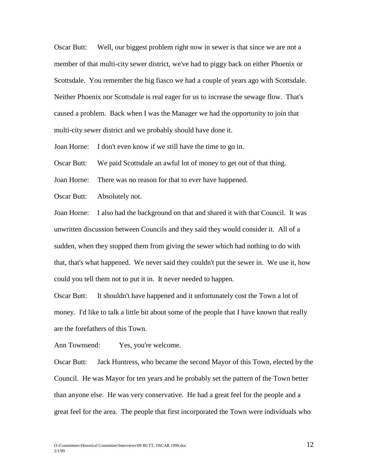Oscar Butt: Well, our biggest problem right now in sewer is that since we are not a member of that multi-city sewer district, we've had to piggy back on either Phoenix or Scottsdale. You remember the big fiasco we had a couple of years ago with Scottsdale. Neither Phoenix nor Scottsdale is real eager for us to increase the sewage flow. That's caused a problem. Back when I was the Manager we had the opportunity to join that multi-city sewer district and we probably should have done it.

Joan Horne: I don't even know if we still have the time to go in.

Oscar Butt: We paid Scottsdale an awful lot of money to get out of that thing.

Joan Horne: There was no reason for that to ever have happened.

Oscar Butt: Absolutely not.

Joan Horne: I also had the background on that and shared it with that Council. It was unwritten discussion between Councils and they said they would consider it. All of a sudden, when they stopped them from giving the sewer which had nothing to do with that, that's what happened. We never said they couldn't put the sewer in. We use it, how could you tell them not to put it in. It never needed to happen.

Oscar Butt: It shouldn't have happened and it unfortunately cost the Town a lot of money. I'd like to talk a little bit about some of the people that I have known that really are the forefathers of this Town.

Ann Townsend: Yes, you're welcome.

Oscar Butt: Jack Huntress, who became the second Mayor of this Town, elected by the Council. He was Mayor for ten years and he probably set the pattern of the Town better than anyone else. He was very conservative. He had a great feel for the people and a great feel for the area. The people that first incorporated the Town were individuals who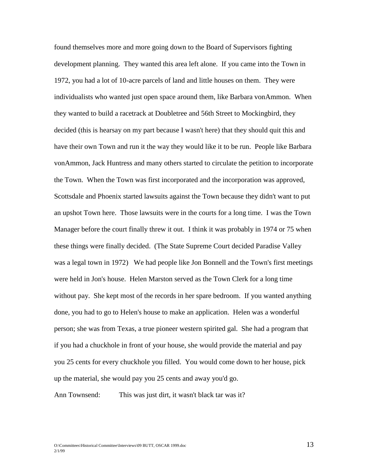found themselves more and more going down to the Board of Supervisors fighting development planning. They wanted this area left alone. If you came into the Town in 1972, you had a lot of 10-acre parcels of land and little houses on them. They were individualists who wanted just open space around them, like Barbara vonAmmon. When they wanted to build a racetrack at Doubletree and 56th Street to Mockingbird, they decided (this is hearsay on my part because I wasn't here) that they should quit this and have their own Town and run it the way they would like it to be run. People like Barbara vonAmmon, Jack Huntress and many others started to circulate the petition to incorporate the Town. When the Town was first incorporated and the incorporation was approved, Scottsdale and Phoenix started lawsuits against the Town because they didn't want to put an upshot Town here. Those lawsuits were in the courts for a long time. I was the Town Manager before the court finally threw it out. I think it was probably in 1974 or 75 when these things were finally decided. (The State Supreme Court decided Paradise Valley was a legal town in 1972) We had people like Jon Bonnell and the Town's first meetings were held in Jon's house. Helen Marston served as the Town Clerk for a long time without pay. She kept most of the records in her spare bedroom. If you wanted anything done, you had to go to Helen's house to make an application. Helen was a wonderful person; she was from Texas, a true pioneer western spirited gal. She had a program that if you had a chuckhole in front of your house, she would provide the material and pay you 25 cents for every chuckhole you filled. You would come down to her house, pick up the material, she would pay you 25 cents and away you'd go.

Ann Townsend: This was just dirt, it wasn't black tar was it?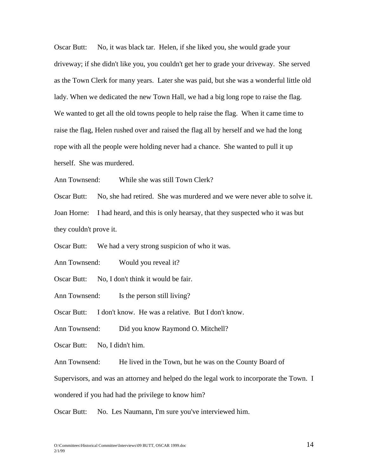Oscar Butt: No, it was black tar. Helen, if she liked you, she would grade your driveway; if she didn't like you, you couldn't get her to grade your driveway. She served as the Town Clerk for many years. Later she was paid, but she was a wonderful little old lady. When we dedicated the new Town Hall, we had a big long rope to raise the flag. We wanted to get all the old towns people to help raise the flag. When it came time to raise the flag, Helen rushed over and raised the flag all by herself and we had the long rope with all the people were holding never had a chance. She wanted to pull it up herself. She was murdered.

Ann Townsend: While she was still Town Clerk?

Oscar Butt: No, she had retired. She was murdered and we were never able to solve it. Joan Horne: I had heard, and this is only hearsay, that they suspected who it was but they couldn't prove it.

Oscar Butt: We had a very strong suspicion of who it was.

Ann Townsend: Would you reveal it?

Oscar Butt: No, I don't think it would be fair.

Ann Townsend: Is the person still living?

Oscar Butt: I don't know. He was a relative. But I don't know.

Ann Townsend: Did you know Raymond O. Mitchell?

Oscar Butt: No. I didn't him.

Ann Townsend: He lived in the Town, but he was on the County Board of

Supervisors, and was an attorney and helped do the legal work to incorporate the Town. I

wondered if you had had the privilege to know him?

Oscar Butt: No. Les Naumann, I'm sure you've interviewed him.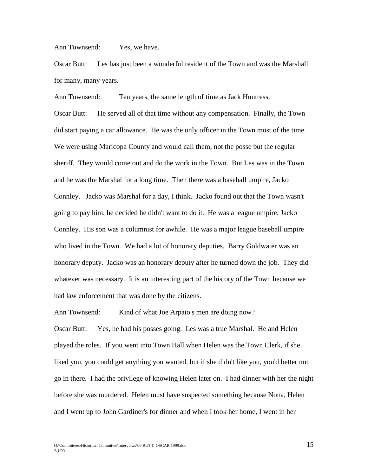Ann Townsend: Yes, we have.

Oscar Butt: Les has just been a wonderful resident of the Town and was the Marshall for many, many years.

Ann Townsend: Ten years, the same length of time as Jack Huntress. Oscar Butt: He served all of that time without any compensation. Finally, the Town did start paying a car allowance. He was the only officer in the Town most of the time. We were using Maricopa County and would call them, not the posse but the regular sheriff. They would come out and do the work in the Town. But Les was in the Town and he was the Marshal for a long time. Then there was a baseball umpire, Jacko Connley. Jacko was Marshal for a day, I think. Jacko found out that the Town wasn't going to pay him, he decided he didn't want to do it. He was a league umpire, Jacko Connley. His son was a columnist for awhile. He was a major league baseball umpire who lived in the Town. We had a lot of honorary deputies. Barry Goldwater was an honorary deputy. Jacko was an honorary deputy after he turned down the job. They did whatever was necessary. It is an interesting part of the history of the Town because we had law enforcement that was done by the citizens.

Ann Townsend: Kind of what Joe Arpaio's men are doing now?

Oscar Butt: Yes, he had his posses going. Les was a true Marshal. He and Helen played the roles. If you went into Town Hall when Helen was the Town Clerk, if she liked you, you could get anything you wanted, but if she didn't like you, you'd better not go in there. I had the privilege of knowing Helen later on. I had dinner with her the night before she was murdered. Helen must have suspected something because Nona, Helen and I went up to John Gardiner's for dinner and when I took her home, I went in her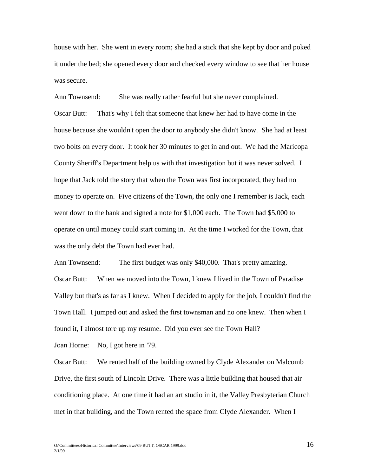house with her. She went in every room; she had a stick that she kept by door and poked it under the bed; she opened every door and checked every window to see that her house was secure.

Ann Townsend: She was really rather fearful but she never complained. Oscar Butt: That's why I felt that someone that knew her had to have come in the house because she wouldn't open the door to anybody she didn't know. She had at least two bolts on every door. It took her 30 minutes to get in and out. We had the Maricopa County Sheriff's Department help us with that investigation but it was never solved. I hope that Jack told the story that when the Town was first incorporated, they had no money to operate on. Five citizens of the Town, the only one I remember is Jack, each went down to the bank and signed a note for \$1,000 each. The Town had \$5,000 to operate on until money could start coming in. At the time I worked for the Town, that was the only debt the Town had ever had.

Ann Townsend: The first budget was only \$40,000. That's pretty amazing. Oscar Butt: When we moved into the Town, I knew I lived in the Town of Paradise Valley but that's as far as I knew. When I decided to apply for the job, I couldn't find the Town Hall. I jumped out and asked the first townsman and no one knew. Then when I found it, I almost tore up my resume. Did you ever see the Town Hall?

Joan Horne: No, I got here in '79.

Oscar Butt: We rented half of the building owned by Clyde Alexander on Malcomb Drive, the first south of Lincoln Drive. There was a little building that housed that air conditioning place. At one time it had an art studio in it, the Valley Presbyterian Church met in that building, and the Town rented the space from Clyde Alexander. When I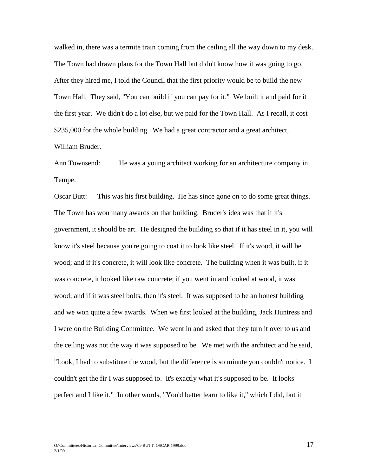walked in, there was a termite train coming from the ceiling all the way down to my desk. The Town had drawn plans for the Town Hall but didn't know how it was going to go. After they hired me, I told the Council that the first priority would be to build the new Town Hall. They said, "You can build if you can pay for it." We built it and paid for it the first year. We didn't do a lot else, but we paid for the Town Hall. As I recall, it cost \$235,000 for the whole building. We had a great contractor and a great architect, William Bruder.

Ann Townsend: He was a young architect working for an architecture company in Tempe.

Oscar Butt: This was his first building. He has since gone on to do some great things. The Town has won many awards on that building. Bruder's idea was that if it's government, it should be art. He designed the building so that if it has steel in it, you will know it's steel because you're going to coat it to look like steel. If it's wood, it will be wood; and if it's concrete, it will look like concrete. The building when it was built, if it was concrete, it looked like raw concrete; if you went in and looked at wood, it was wood; and if it was steel bolts, then it's steel. It was supposed to be an honest building and we won quite a few awards. When we first looked at the building, Jack Huntress and I were on the Building Committee. We went in and asked that they turn it over to us and the ceiling was not the way it was supposed to be. We met with the architect and he said, "Look, I had to substitute the wood, but the difference is so minute you couldn't notice. I couldn't get the fir I was supposed to. It's exactly what it's supposed to be. It looks perfect and I like it." In other words, "You'd better learn to like it," which I did, but it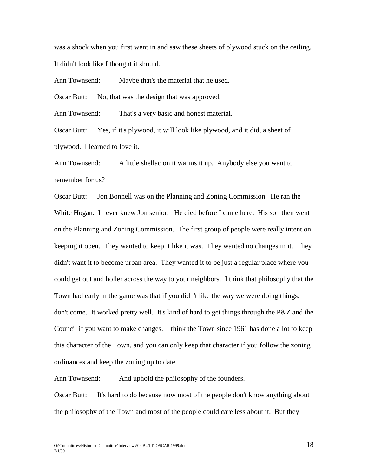was a shock when you first went in and saw these sheets of plywood stuck on the ceiling. It didn't look like I thought it should.

Ann Townsend: Maybe that's the material that he used.

Oscar Butt: No, that was the design that was approved.

Ann Townsend: That's a very basic and honest material.

Oscar Butt: Yes, if it's plywood, it will look like plywood, and it did, a sheet of plywood. I learned to love it.

Ann Townsend: A little shellac on it warms it up. Anybody else you want to remember for us?

Oscar Butt: Jon Bonnell was on the Planning and Zoning Commission. He ran the White Hogan. I never knew Jon senior. He died before I came here. His son then went on the Planning and Zoning Commission. The first group of people were really intent on keeping it open. They wanted to keep it like it was. They wanted no changes in it. They didn't want it to become urban area. They wanted it to be just a regular place where you could get out and holler across the way to your neighbors. I think that philosophy that the Town had early in the game was that if you didn't like the way we were doing things, don't come. It worked pretty well. It's kind of hard to get things through the P&Z and the Council if you want to make changes. I think the Town since 1961 has done a lot to keep this character of the Town, and you can only keep that character if you follow the zoning ordinances and keep the zoning up to date.

Ann Townsend: And uphold the philosophy of the founders.

Oscar Butt: It's hard to do because now most of the people don't know anything about the philosophy of the Town and most of the people could care less about it. But they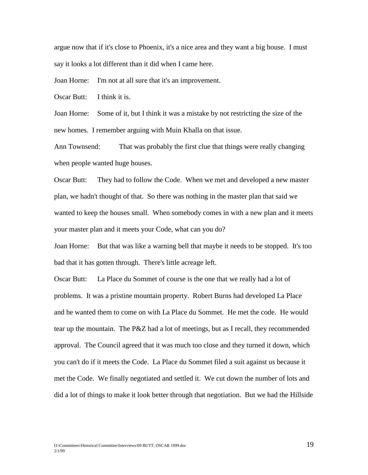argue now that if it's close to Phoenix, it's a nice area and they want a big house. I must say it looks a lot different than it did when I came here.

Joan Horne: I'm not at all sure that it's an improvement.

Oscar Butt: I think it is.

Joan Horne: Some of it, but I think it was a mistake by not restricting the size of the new homes. I remember arguing with Muin Khalla on that issue.

Ann Townsend: That was probably the first clue that things were really changing when people wanted huge houses.

Oscar Butt: They had to follow the Code. When we met and developed a new master plan, we hadn't thought of that. So there was nothing in the master plan that said we wanted to keep the houses small. When somebody comes in with a new plan and it meets your master plan and it meets your Code, what can you do?

Joan Horne: But that was like a warning bell that maybe it needs to be stopped. It's too bad that it has gotten through. There's little acreage left.

Oscar Butt: La Place du Sommet of course is the one that we really had a lot of problems. It was a pristine mountain property. Robert Burns had developed La Place and he wanted them to come on with La Place du Sommet. He met the code. He would tear up the mountain. The P&Z had a lot of meetings, but as I recall, they recommended approval. The Council agreed that it was much too close and they turned it down, which you can't do if it meets the Code. La Place du Sommet filed a suit against us because it met the Code. We finally negotiated and settled it. We cut down the number of lots and did a lot of things to make it look better through that negotiation. But we had the Hillside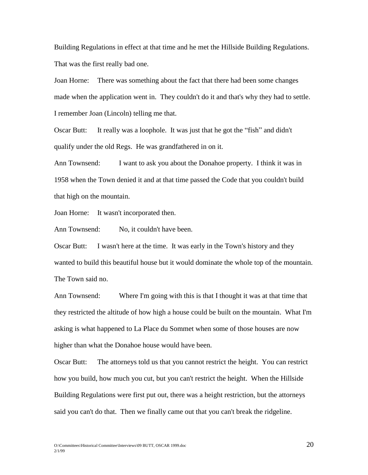Building Regulations in effect at that time and he met the Hillside Building Regulations. That was the first really bad one.

Joan Horne: There was something about the fact that there had been some changes made when the application went in. They couldn't do it and that's why they had to settle. I remember Joan (Lincoln) telling me that.

Oscar Butt: It really was a loophole. It was just that he got the "fish" and didn't qualify under the old Regs. He was grandfathered in on it.

Ann Townsend: I want to ask you about the Donahoe property. I think it was in 1958 when the Town denied it and at that time passed the Code that you couldn't build that high on the mountain.

Joan Horne: It wasn't incorporated then.

Ann Townsend: No, it couldn't have been.

Oscar Butt: I wasn't here at the time. It was early in the Town's history and they wanted to build this beautiful house but it would dominate the whole top of the mountain. The Town said no.

Ann Townsend: Where I'm going with this is that I thought it was at that time that they restricted the altitude of how high a house could be built on the mountain. What I'm asking is what happened to La Place du Sommet when some of those houses are now higher than what the Donahoe house would have been.

Oscar Butt: The attorneys told us that you cannot restrict the height. You can restrict how you build, how much you cut, but you can't restrict the height. When the Hillside Building Regulations were first put out, there was a height restriction, but the attorneys said you can't do that. Then we finally came out that you can't break the ridgeline.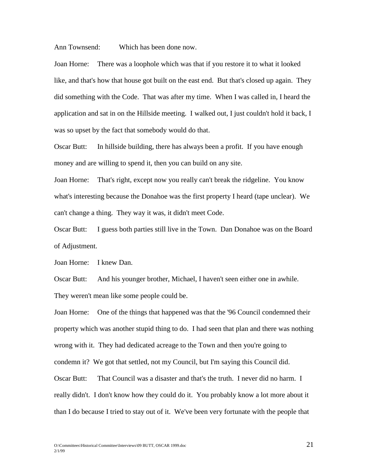Ann Townsend: Which has been done now.

Joan Horne: There was a loophole which was that if you restore it to what it looked like, and that's how that house got built on the east end. But that's closed up again. They did something with the Code. That was after my time. When I was called in, I heard the application and sat in on the Hillside meeting. I walked out, I just couldn't hold it back, I was so upset by the fact that somebody would do that.

Oscar Butt: In hillside building, there has always been a profit. If you have enough money and are willing to spend it, then you can build on any site.

Joan Horne: That's right, except now you really can't break the ridgeline. You know what's interesting because the Donahoe was the first property I heard (tape unclear). We can't change a thing. They way it was, it didn't meet Code.

Oscar Butt: I guess both parties still live in the Town. Dan Donahoe was on the Board of Adjustment.

Joan Horne: I knew Dan.

Oscar Butt: And his younger brother, Michael, I haven't seen either one in awhile. They weren't mean like some people could be.

Joan Horne: One of the things that happened was that the '96 Council condemned their property which was another stupid thing to do. I had seen that plan and there was nothing wrong with it. They had dedicated acreage to the Town and then you're going to condemn it? We got that settled, not my Council, but I'm saying this Council did. Oscar Butt: That Council was a disaster and that's the truth. I never did no harm. I really didn't. I don't know how they could do it. You probably know a lot more about it than I do because I tried to stay out of it. We've been very fortunate with the people that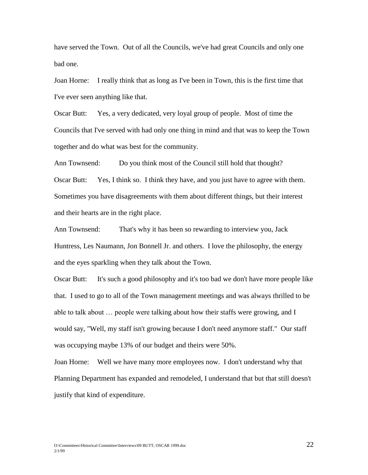have served the Town. Out of all the Councils, we've had great Councils and only one bad one.

Joan Horne: I really think that as long as I've been in Town, this is the first time that I've ever seen anything like that.

Oscar Butt: Yes, a very dedicated, very loyal group of people. Most of time the Councils that I've served with had only one thing in mind and that was to keep the Town together and do what was best for the community.

Ann Townsend: Do you think most of the Council still hold that thought? Oscar Butt: Yes, I think so. I think they have, and you just have to agree with them. Sometimes you have disagreements with them about different things, but their interest and their hearts are in the right place.

Ann Townsend: That's why it has been so rewarding to interview you, Jack Huntress, Les Naumann, Jon Bonnell Jr. and others. I love the philosophy, the energy and the eyes sparkling when they talk about the Town.

Oscar Butt: It's such a good philosophy and it's too bad we don't have more people like that. I used to go to all of the Town management meetings and was always thrilled to be able to talk about … people were talking about how their staffs were growing, and I would say, "Well, my staff isn't growing because I don't need anymore staff." Our staff was occupying maybe 13% of our budget and theirs were 50%.

Joan Horne: Well we have many more employees now. I don't understand why that Planning Department has expanded and remodeled, I understand that but that still doesn't justify that kind of expenditure.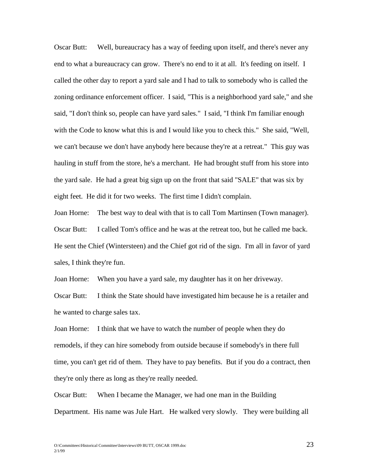Oscar Butt: Well, bureaucracy has a way of feeding upon itself, and there's never any end to what a bureaucracy can grow. There's no end to it at all. It's feeding on itself. I called the other day to report a yard sale and I had to talk to somebody who is called the zoning ordinance enforcement officer. I said, "This is a neighborhood yard sale," and she said, "I don't think so, people can have yard sales." I said, "I think I'm familiar enough with the Code to know what this is and I would like you to check this." She said, "Well, we can't because we don't have anybody here because they're at a retreat." This guy was hauling in stuff from the store, he's a merchant. He had brought stuff from his store into the yard sale. He had a great big sign up on the front that said "SALE" that was six by eight feet. He did it for two weeks. The first time I didn't complain.

Joan Horne: The best way to deal with that is to call Tom Martinsen (Town manager). Oscar Butt: I called Tom's office and he was at the retreat too, but he called me back. He sent the Chief (Wintersteen) and the Chief got rid of the sign. I'm all in favor of yard sales, I think they're fun.

Joan Horne: When you have a yard sale, my daughter has it on her driveway. Oscar Butt: I think the State should have investigated him because he is a retailer and he wanted to charge sales tax.

Joan Horne: I think that we have to watch the number of people when they do remodels, if they can hire somebody from outside because if somebody's in there full time, you can't get rid of them. They have to pay benefits. But if you do a contract, then they're only there as long as they're really needed.

Oscar Butt: When I became the Manager, we had one man in the Building Department. His name was Jule Hart. He walked very slowly. They were building all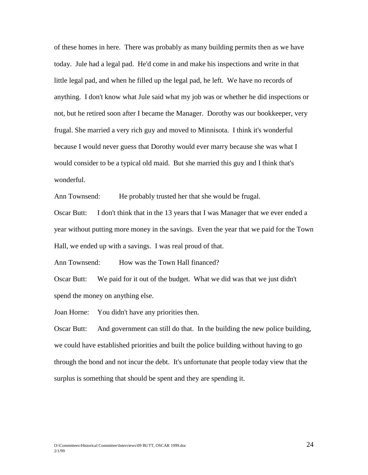of these homes in here. There was probably as many building permits then as we have today. Jule had a legal pad. He'd come in and make his inspections and write in that little legal pad, and when he filled up the legal pad, he left. We have no records of anything. I don't know what Jule said what my job was or whether he did inspections or not, but he retired soon after I became the Manager. Dorothy was our bookkeeper, very frugal. She married a very rich guy and moved to Minnisota. I think it's wonderful because I would never guess that Dorothy would ever marry because she was what I would consider to be a typical old maid. But she married this guy and I think that's wonderful.

Ann Townsend: He probably trusted her that she would be frugal.

Oscar Butt: I don't think that in the 13 years that I was Manager that we ever ended a year without putting more money in the savings. Even the year that we paid for the Town Hall, we ended up with a savings. I was real proud of that.

Ann Townsend: How was the Town Hall financed?

Oscar Butt: We paid for it out of the budget. What we did was that we just didn't spend the money on anything else.

Joan Horne: You didn't have any priorities then.

Oscar Butt: And government can still do that. In the building the new police building, we could have established priorities and built the police building without having to go through the bond and not incur the debt. It's unfortunate that people today view that the surplus is something that should be spent and they are spending it.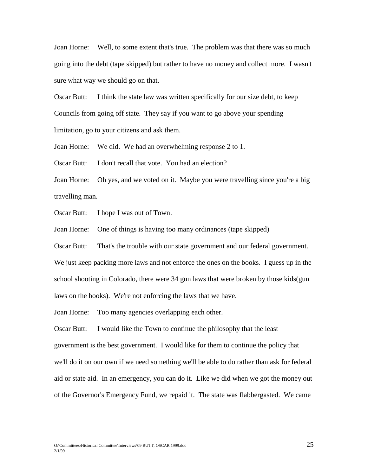Joan Horne: Well, to some extent that's true. The problem was that there was so much going into the debt (tape skipped) but rather to have no money and collect more. I wasn't sure what way we should go on that.

Oscar Butt: I think the state law was written specifically for our size debt, to keep Councils from going off state. They say if you want to go above your spending limitation, go to your citizens and ask them.

Joan Horne: We did. We had an overwhelming response 2 to 1.

Oscar Butt: I don't recall that vote. You had an election?

Joan Horne: Oh yes, and we voted on it. Maybe you were travelling since you're a big travelling man.

Oscar Butt: I hope I was out of Town.

Joan Horne: One of things is having too many ordinances (tape skipped)

Oscar Butt: That's the trouble with our state government and our federal government. We just keep packing more laws and not enforce the ones on the books. I guess up in the school shooting in Colorado, there were 34 gun laws that were broken by those kids(gun laws on the books). We're not enforcing the laws that we have.

Joan Horne: Too many agencies overlapping each other.

Oscar Butt: I would like the Town to continue the philosophy that the least government is the best government. I would like for them to continue the policy that we'll do it on our own if we need something we'll be able to do rather than ask for federal aid or state aid. In an emergency, you can do it. Like we did when we got the money out of the Governor's Emergency Fund, we repaid it. The state was flabbergasted. We came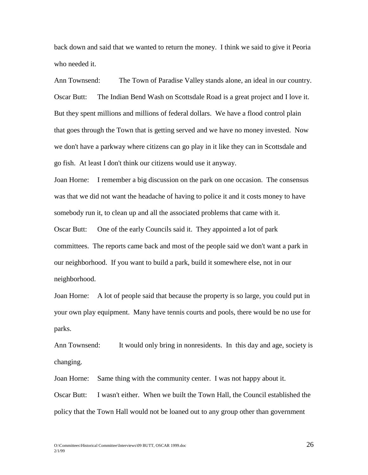back down and said that we wanted to return the money. I think we said to give it Peoria who needed it.

Ann Townsend: The Town of Paradise Valley stands alone, an ideal in our country. Oscar Butt: The Indian Bend Wash on Scottsdale Road is a great project and I love it. But they spent millions and millions of federal dollars. We have a flood control plain that goes through the Town that is getting served and we have no money invested. Now we don't have a parkway where citizens can go play in it like they can in Scottsdale and go fish. At least I don't think our citizens would use it anyway.

Joan Horne: I remember a big discussion on the park on one occasion. The consensus was that we did not want the headache of having to police it and it costs money to have somebody run it, to clean up and all the associated problems that came with it.

Oscar Butt: One of the early Councils said it. They appointed a lot of park committees. The reports came back and most of the people said we don't want a park in our neighborhood. If you want to build a park, build it somewhere else, not in our neighborhood.

Joan Horne: A lot of people said that because the property is so large, you could put in your own play equipment. Many have tennis courts and pools, there would be no use for parks.

Ann Townsend: It would only bring in nonresidents. In this day and age, society is changing.

Joan Horne: Same thing with the community center. I was not happy about it. Oscar Butt: I wasn't either. When we built the Town Hall, the Council established the policy that the Town Hall would not be loaned out to any group other than government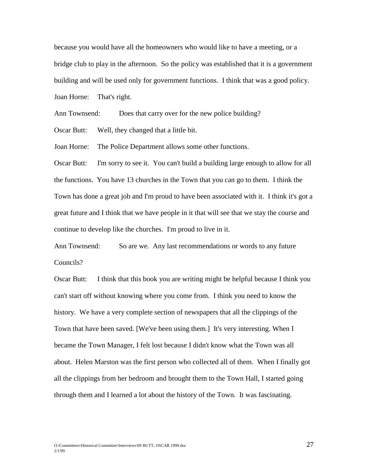because you would have all the homeowners who would like to have a meeting, or a bridge club to play in the afternoon. So the policy was established that it is a government building and will be used only for government functions. I think that was a good policy. Joan Horne: That's right.

Ann Townsend: Does that carry over for the new police building?

Oscar Butt: Well, they changed that a little bit.

Joan Horne: The Police Department allows some other functions.

Oscar Butt: I'm sorry to see it. You can't build a building large enough to allow for all the functions. You have 13 churches in the Town that you can go to them. I think the Town has done a great job and I'm proud to have been associated with it. I think it's got a great future and I think that we have people in it that will see that we stay the course and continue to develop like the churches. I'm proud to live in it.

Ann Townsend: So are we. Any last recommendations or words to any future Councils?

Oscar Butt: I think that this book you are writing might be helpful because I think you can't start off without knowing where you come from. I think you need to know the history. We have a very complete section of newspapers that all the clippings of the Town that have been saved. [We've been using them.] It's very interesting. When I became the Town Manager, I felt lost because I didn't know what the Town was all about. Helen Marston was the first person who collected all of them. When I finally got all the clippings from her bedroom and brought them to the Town Hall, I started going through them and I learned a lot about the history of the Town. It was fascinating.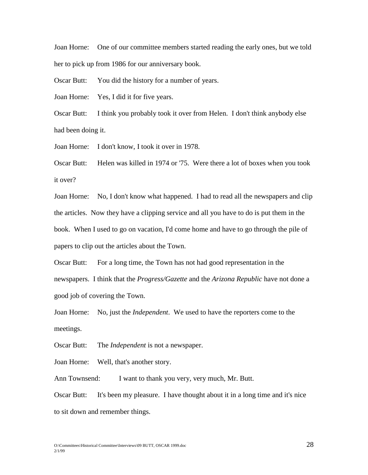Joan Horne: One of our committee members started reading the early ones, but we told her to pick up from 1986 for our anniversary book.

Oscar Butt: You did the history for a number of years.

Joan Horne: Yes, I did it for five years.

Oscar Butt: I think you probably took it over from Helen. I don't think anybody else had been doing it.

Joan Horne: I don't know, I took it over in 1978.

Oscar Butt: Helen was killed in 1974 or '75. Were there a lot of boxes when you took it over?

Joan Horne: No, I don't know what happened. I had to read all the newspapers and clip the articles. Now they have a clipping service and all you have to do is put them in the book. When I used to go on vacation, I'd come home and have to go through the pile of papers to clip out the articles about the Town.

Oscar Butt: For a long time, the Town has not had good representation in the newspapers. I think that the *Progress/Gazette* and the *Arizona Republic* have not done a good job of covering the Town.

Joan Horne: No, just the *Independent*. We used to have the reporters come to the meetings.

Oscar Butt: The *Independent* is not a newspaper.

Joan Horne: Well, that's another story.

Ann Townsend: I want to thank you very, very much, Mr. Butt.

Oscar Butt: It's been my pleasure. I have thought about it in a long time and it's nice to sit down and remember things.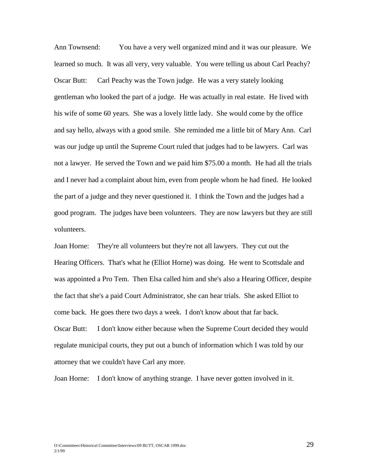Ann Townsend: You have a very well organized mind and it was our pleasure. We learned so much. It was all very, very valuable. You were telling us about Carl Peachy? Oscar Butt: Carl Peachy was the Town judge. He was a very stately looking gentleman who looked the part of a judge. He was actually in real estate. He lived with his wife of some 60 years. She was a lovely little lady. She would come by the office and say hello, always with a good smile. She reminded me a little bit of Mary Ann. Carl was our judge up until the Supreme Court ruled that judges had to be lawyers. Carl was not a lawyer. He served the Town and we paid him \$75.00 a month. He had all the trials and I never had a complaint about him, even from people whom he had fined. He looked the part of a judge and they never questioned it. I think the Town and the judges had a good program. The judges have been volunteers. They are now lawyers but they are still volunteers.

Joan Horne: They're all volunteers but they're not all lawyers. They cut out the Hearing Officers. That's what he (Elliot Horne) was doing. He went to Scottsdale and was appointed a Pro Tem. Then Elsa called him and she's also a Hearing Officer, despite the fact that she's a paid Court Administrator, she can hear trials. She asked Elliot to come back. He goes there two days a week. I don't know about that far back. Oscar Butt: I don't know either because when the Supreme Court decided they would regulate municipal courts, they put out a bunch of information which I was told by our attorney that we couldn't have Carl any more.

Joan Horne: I don't know of anything strange. I have never gotten involved in it.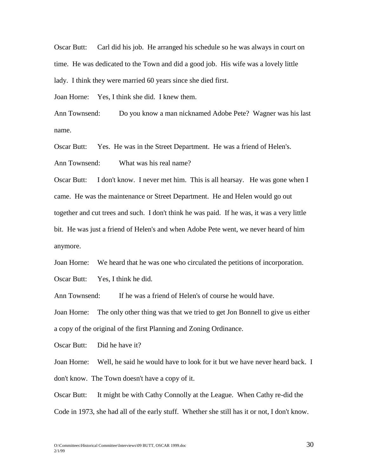Oscar Butt: Carl did his job. He arranged his schedule so he was always in court on time. He was dedicated to the Town and did a good job. His wife was a lovely little lady. I think they were married 60 years since she died first.

Joan Horne: Yes, I think she did. I knew them.

Ann Townsend: Do you know a man nicknamed Adobe Pete? Wagner was his last name.

Oscar Butt: Yes. He was in the Street Department. He was a friend of Helen's. Ann Townsend: What was his real name?

Oscar Butt: I don't know. I never met him. This is all hearsay. He was gone when I came. He was the maintenance or Street Department. He and Helen would go out together and cut trees and such. I don't think he was paid. If he was, it was a very little bit. He was just a friend of Helen's and when Adobe Pete went, we never heard of him anymore.

Joan Horne: We heard that he was one who circulated the petitions of incorporation.

Oscar Butt: Yes, I think he did.

Ann Townsend: If he was a friend of Helen's of course he would have.

Joan Horne: The only other thing was that we tried to get Jon Bonnell to give us either a copy of the original of the first Planning and Zoning Ordinance.

Oscar Butt: Did he have it?

Joan Horne: Well, he said he would have to look for it but we have never heard back. I don't know. The Town doesn't have a copy of it.

Oscar Butt: It might be with Cathy Connolly at the League. When Cathy re-did the Code in 1973, she had all of the early stuff. Whether she still has it or not, I don't know.